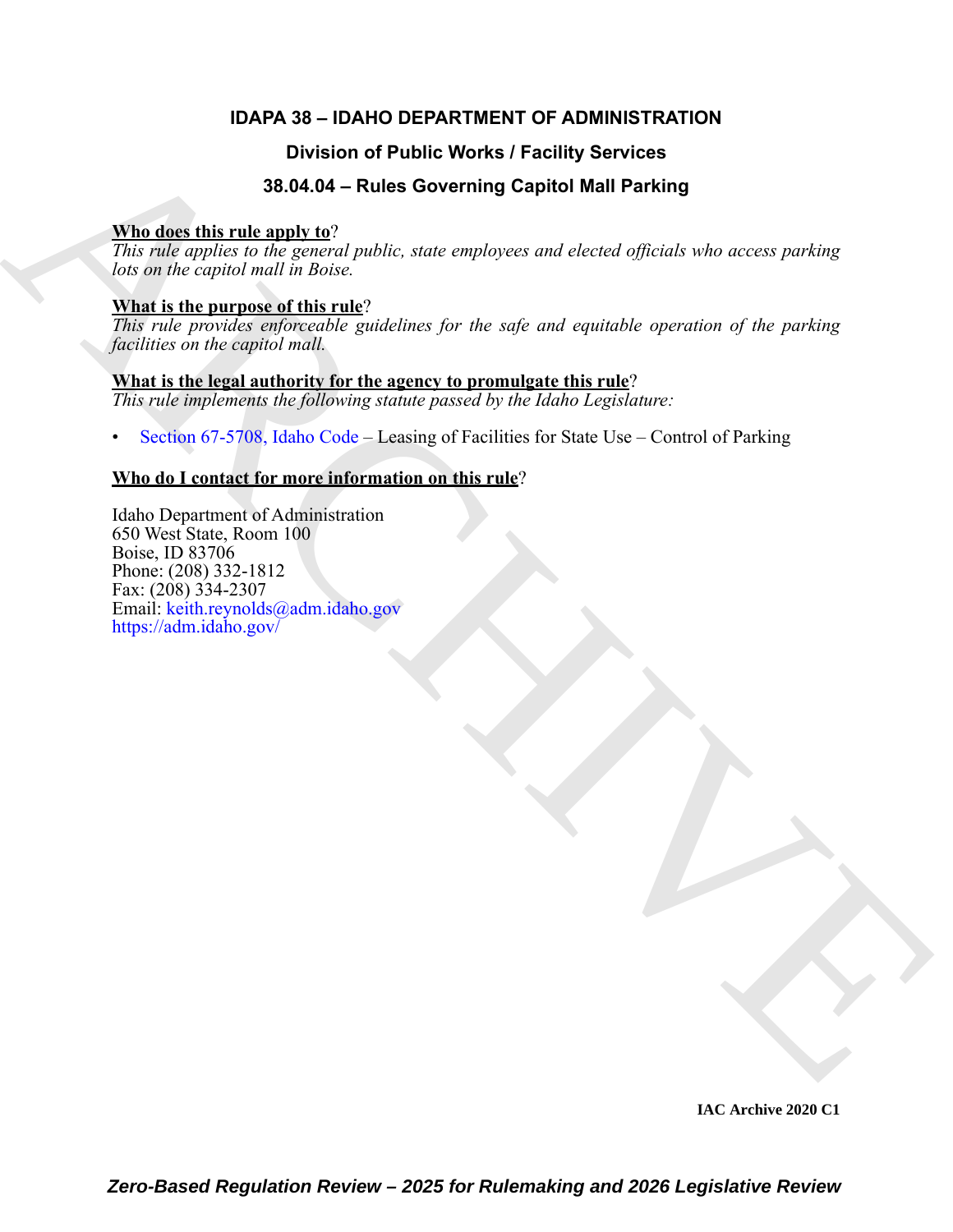# **IDAPA 38 – IDAHO DEPARTMENT OF ADMINISTRATION**

# **Division of Public Works / Facility Services**

# **38.04.04 – Rules Governing Capitol Mall Parking**

## **Who does this rule apply to**?

*This rule applies to the general public, state employees and elected officials who access parking lots on the capitol mall in Boise.*

## **What is the purpose of this rule**?

*This rule provides enforceable guidelines for the safe and equitable operation of the parking facilities on the capitol mall.*

# **What is the legal authority for the agency to promulgate this rule**?

*This rule implements the following statute passed by the Idaho Legislature:*

• Section 67-5708, Idaho Code – Leasing of Facilities for State Use – Control of Parking

# **Who do I contact for more information on this rule**?

Division of Public Works / Facility Services<br>
38.04.94 - [R](https://legislature.idaho.gov/statutesrules/idstat/Title67/T67CH57/SECT67-5708/)ules Governing Capitol Mall Parking<br>
This role agents in the counter public, state employees and elected officials who access parking<br>  $\frac{\text{WRe}}{\text{det}}$  is role agen Idaho Department of Administration 650 West State, Room 100 Boise, ID 83706 Phone: (208) 332-1812 Fax: (208) 334-2307 Email: keith.reynolds@adm.idaho.gov https://adm.idaho.gov/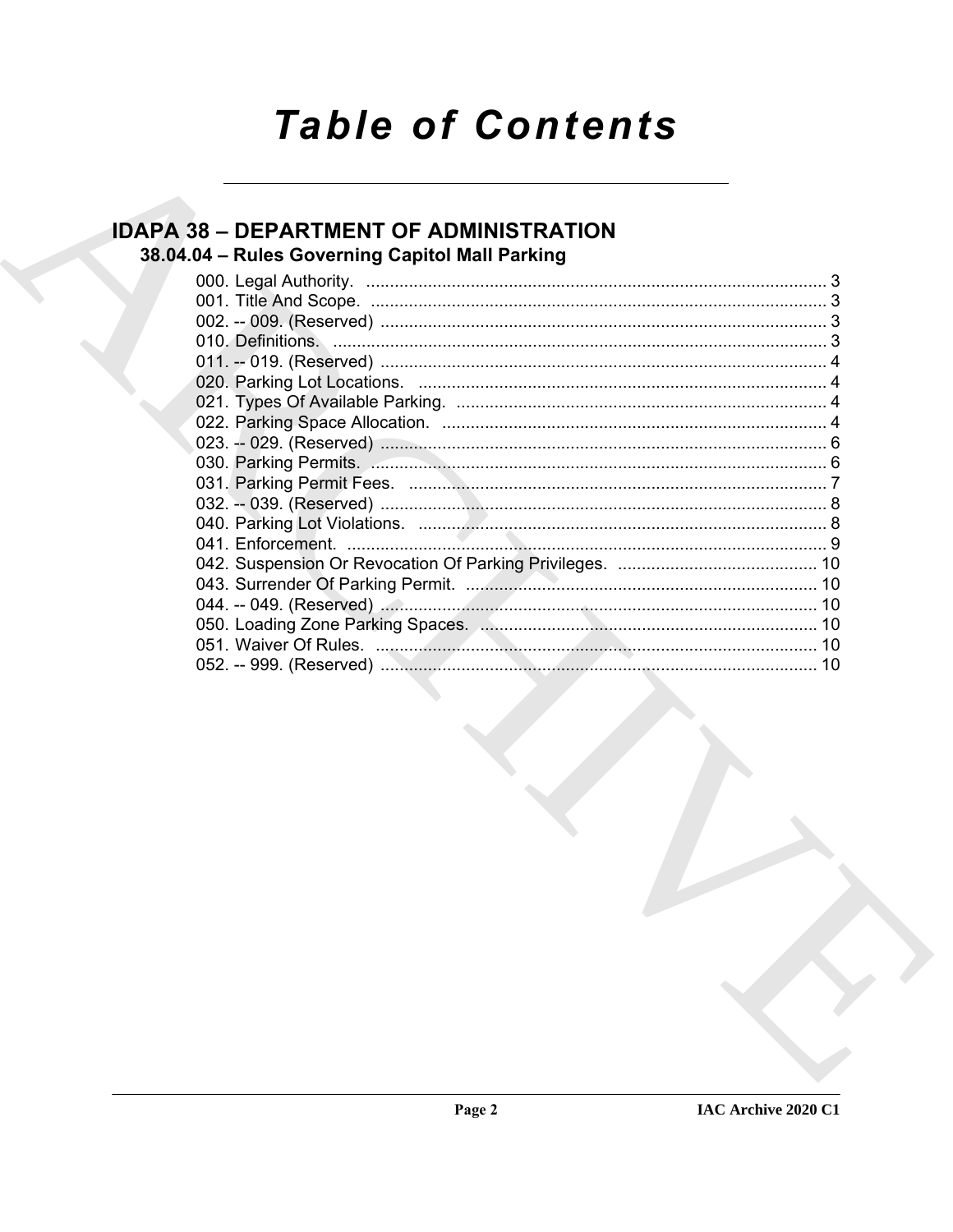# **Table of Contents**

# **IDAPA 38 - DEPARTMENT OF ADMINISTRATION** 38.04.04 - Rules Governing Capitol Mall Parking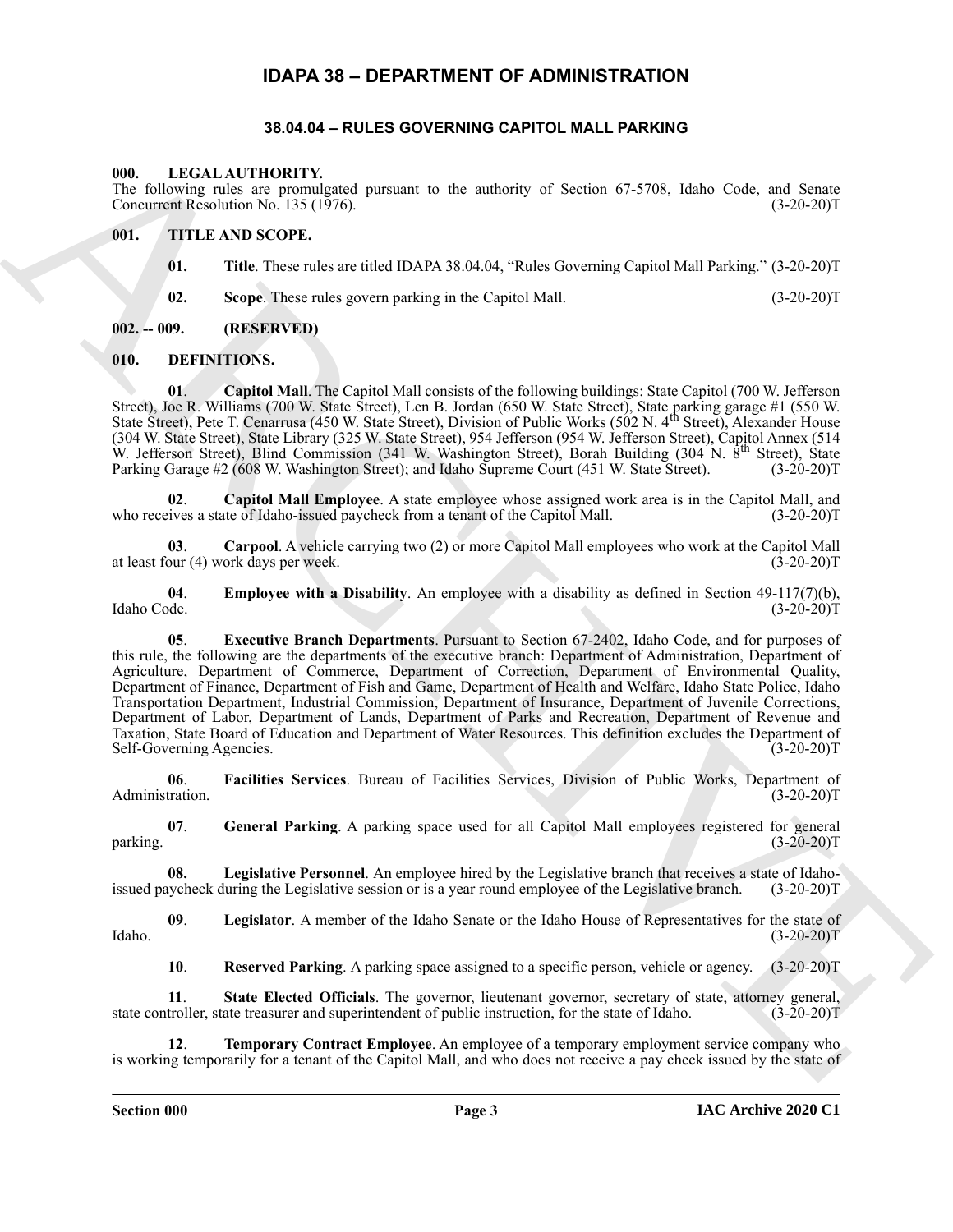# **IDAPA 38 – DEPARTMENT OF ADMINISTRATION**

#### **38.04.04 – RULES GOVERNING CAPITOL MALL PARKING**

#### <span id="page-2-19"></span><span id="page-2-2"></span><span id="page-2-1"></span><span id="page-2-0"></span>**000. LEGAL AUTHORITY.**

The following rules are promulgated pursuant to the authority of Section 67-5708, Idaho Code, and Senate Concurrent Resolution No. 135 (1976). (3-20-20)T

#### <span id="page-2-3"></span>**001. TITLE AND SCOPE.**

- <span id="page-2-20"></span>**01. Title**. These rules are titled IDAPA 38.04.04, "Rules Governing Capitol Mall Parking." (3-20-20)T
- <span id="page-2-7"></span><span id="page-2-6"></span>**02. Scope**. These rules govern parking in the Capitol Mall. (3-20-20)T

#### <span id="page-2-4"></span>**002. -- 009. (RESERVED)**

#### <span id="page-2-5"></span>**010. DEFINITIONS.**

**01**. **Capitol Mall**. The Capitol Mall consists of the following buildings: State Capitol (700 W. Jefferson Street), Joe R. Williams (700 W. State Street), Len B. Jordan (650 W. State Street), State parking garage #1 (550 W.<br>State Street), Pete T. Cenarrusa (450 W. State Street), Division of Public Works (502 N. 4<sup>th</sup> Street), A (304 W. State Street), State Library (325 W. State Street), 954 Jefferson (954 W. Jefferson Street), Capitol Annex (514 W. Jefferson Street), Blind Commission (341 W. Washington Street), Borah Building (304 N. 8<sup>th</sup> Street), State Parking Garage #2 (608 W. Washington Street); and Idaho Supreme Court (451 W. State Street). (3-20-20)T Parking Garage #2 (608 W. Washington Street); and Idaho Supreme Court (451 W. State Street).

<span id="page-2-8"></span>**02. Capitol Mall Employee**. A state employee whose assigned work area is in the Capitol Mall, and ives a state of Idaho-issued paycheck from a tenant of the Capitol Mall. who receives a state of Idaho-issued paycheck from a tenant of the Capitol Mall.

<span id="page-2-9"></span>**03**. **Carpool**. A vehicle carrying two (2) or more Capitol Mall employees who work at the Capitol Mall at least four  $(4)$  work days per week.

<span id="page-2-11"></span><span id="page-2-10"></span>**04. Employee with a Disability**. An employee with a disability as defined in Section 49-117(7)(b), Idaho Code. (3-20-20)T Idaho Code. (3-20-20)T

ARCHIVE **05**. **Executive Branch Departments**. Pursuant to Section 67-2402, Idaho Code, and for purposes of this rule, the following are the departments of the executive branch: Department of Administration, Department of Agriculture, Department of Commerce, Department of Correction, Department of Environmental Quality, Department of Finance, Department of Fish and Game, Department of Health and Welfare, Idaho State Police, Idaho Transportation Department, Industrial Commission, Department of Insurance, Department of Juvenile Corrections, Department of Labor, Department of Lands, Department of Parks and Recreation, Department of Revenue and Taxation, State Board of Education and Department of Water Resources. This definition excludes the Department of Self-Governing Agencies. (3-20-20)T

<span id="page-2-12"></span>**06**. **Facilities Services**. Bureau of Facilities Services, Division of Public Works, Department of Administration. (3-20-20)T

<span id="page-2-13"></span>**07**. **General Parking**. A parking space used for all Capitol Mall employees registered for general  $\mu$  parking. (3-20-20)T

<span id="page-2-14"></span>**08.** Legislative Personnel. An employee hired by the Legislative branch that receives a state of Idaho-<br>aycheck during the Legislative session or is a year round employee of the Legislative branch. (3-20-20)T issued paycheck during the Legislative session or is a year round employee of the Legislative branch.

**09**. **Legislator**. A member of the Idaho Senate or the Idaho House of Representatives for the state of  $\text{Idaho.} \tag{3-20-20}$ 

<span id="page-2-18"></span><span id="page-2-17"></span><span id="page-2-16"></span><span id="page-2-15"></span>**10**. **Reserved Parking**. A parking space assigned to a specific person, vehicle or agency. (3-20-20)T

**11. State Elected Officials**. The governor, lieutenant governor, secretary of state, attorney general, troller, state treasurer and superintendent of public instruction, for the state of Idaho. (3-20-20)T state controller, state treasurer and superintendent of public instruction, for the state of Idaho.

**12**. **Temporary Contract Employee**. An employee of a temporary employment service company who is working temporarily for a tenant of the Capitol Mall, and who does not receive a pay check issued by the state of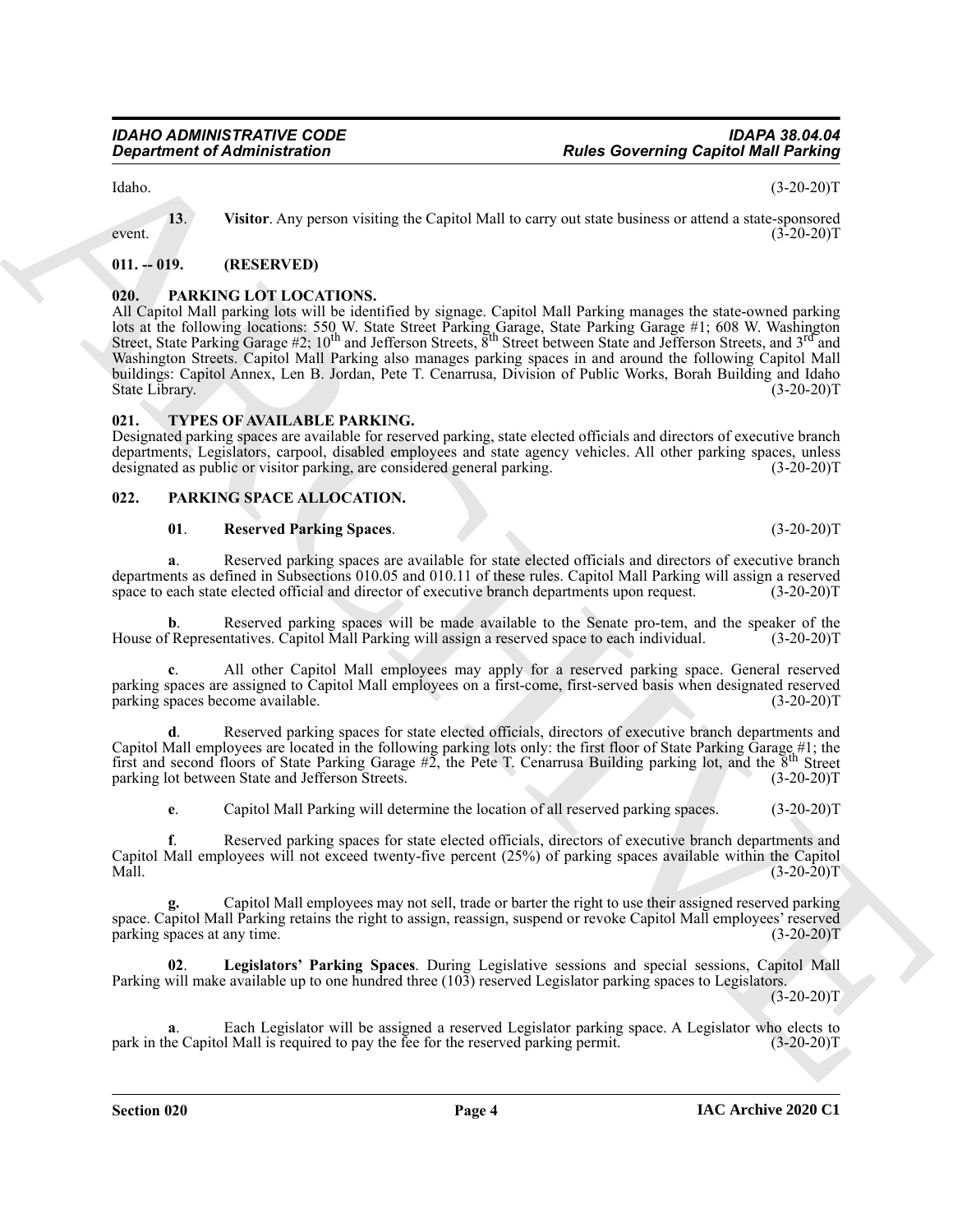Idaho. (3-20-20)T

<span id="page-3-4"></span>**13**. **Visitor**. Any person visiting the Capitol Mall to carry out state business or attend a state-sponsored (3-20-20)  $(3-20-20)$ T (3-20-20)T

#### <span id="page-3-0"></span>**011. -- 019. (RESERVED)**

### <span id="page-3-5"></span><span id="page-3-1"></span>**020. PARKING LOT LOCATIONS.**

**Equation of Administration**<br> **Roles Governing Capital Mid Participe Capital Mid Participe and Southern and Southern Capital Mid Participe (1988)**<br>
ARCHIVES CONTINUOVER (1988) CAPITAL CONTINUOVER (1988) CAPITAL CONTINUOVE All Capitol Mall parking lots will be identified by signage. Capitol Mall Parking manages the state-owned parking lots at the following locations: 550 W. State Street Parking Garage, State Parking Garage #1; 608 W. Washington<br>Street, State Parking Garage #2; 10<sup>th</sup> and Jefferson Streets, 8<sup>th</sup> Street between State and Jefferson Street Washington Streets. Capitol Mall Parking also manages parking spaces in and around the following Capitol Mall buildings: Capitol Annex, Len B. Jordan, Pete T. Cenarrusa, Division of Public Works, Borah Building and Idaho State Library. (3-20-20)T

#### <span id="page-3-9"></span><span id="page-3-2"></span>**021. TYPES OF AVAILABLE PARKING.**

Designated parking spaces are available for reserved parking, state elected officials and directors of executive branch departments, Legislators, carpool, disabled employees and state agency vehicles. All other parking spaces, unless designated as public or visitor parking, are considered general parking. (3-20-20)T

#### <span id="page-3-3"></span>**022. PARKING SPACE ALLOCATION.**

#### <span id="page-3-8"></span><span id="page-3-6"></span>**01**. **Reserved Parking Spaces**. (3-20-20)T

**a**. Reserved parking spaces are available for state elected officials and directors of executive branch departments as defined in Subsections 010.05 and 010.11 of these rules. Capitol Mall Parking will assign a reserved space to each state elected official and director of executive branch departments upon request. (3-20-20)T

**b**. Reserved parking spaces will be made available to the Senate pro-tem, and the speaker of the House of Representatives. Capitol Mall Parking will assign a reserved space to each individual. (3-20-20)T

**c**. All other Capitol Mall employees may apply for a reserved parking space. General reserved parking spaces are assigned to Capitol Mall employees on a first-come, first-served basis when designated reserved parking spaces become available.

**d**. Reserved parking spaces for state elected officials, directors of executive branch departments and Capitol Mall employees are located in the following parking lots only: the first floor of State Parking Garage #1; the first and second floors of State Parking Garage #2, the Pete T. Cenarrusa Building parking lot, and the parking lot between State and Jefferson Streets. (3-20-20)T

**e**. Capitol Mall Parking will determine the location of all reserved parking spaces. (3-20-20)T

**f**. Reserved parking spaces for state elected officials, directors of executive branch departments and Capitol Mall employees will not exceed twenty-five percent (25%) of parking spaces available within the Capitol Mall.  $(3-20-20)T$ 

**g.** Capitol Mall employees may not sell, trade or barter the right to use their assigned reserved parking space. Capitol Mall Parking retains the right to assign, reassign, suspend or revoke Capitol Mall employees' reserved parking spaces at any time. (3-20-20) parking spaces at any time.

<span id="page-3-7"></span>**02**. **Legislators' Parking Spaces**. During Legislative sessions and special sessions, Capitol Mall Parking will make available up to one hundred three (103) reserved Legislator parking spaces to Legislators.

 $(3-20-20)T$ 

**a**. Each Legislator will be assigned a reserved Legislator parking space. A Legislator who elects to ne Capitol Mall is required to pay the fee for the reserved parking permit. (3-20-20) park in the Capitol Mall is required to pay the fee for the reserved parking permit.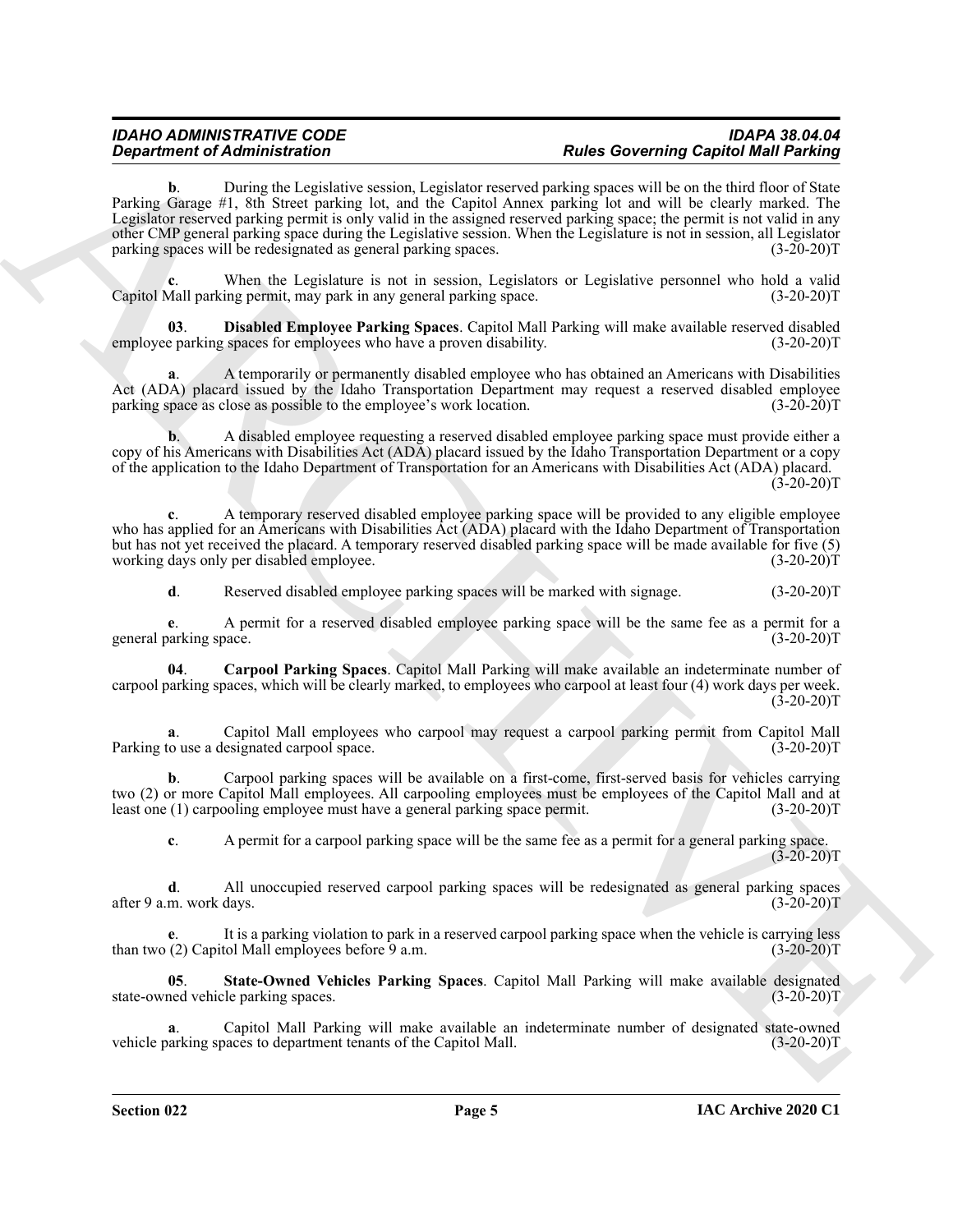*Department of Administration*<br> **ARCHIVENG CONFIDENT consults that consults are not allow the consults and the state of Administration and the United State of Administration and the United State of Administration and th b**. During the Legislative session, Legislator reserved parking spaces will be on the third floor of State Parking Garage #1, 8th Street parking lot, and the Capitol Annex parking lot and will be clearly marked. The Legislator reserved parking permit is only valid in the assigned reserved parking space; the permit is not valid in any other CMP general parking space during the Legislative session. When the Legislature is not in session, all Legislator parking spaces will be redesignated as general parking spaces. (3-20-20)T

When the Legislature is not in session, Legislators or Legislative personnel who hold a valid<br>ing permit, may park in any general parking space. (3-20-20)T Capitol Mall parking permit, may park in any general parking space.

<span id="page-4-1"></span>**Disabled Employee Parking Spaces**. Capitol Mall Parking will make available reserved disabled g spaces for employees who have a proven disability. (3-20-20)T employee parking spaces for employees who have a proven disability.

**a.** A temporarily or permanently disabled employee who has obtained an Americans with Disabilities Act (ADA) placard issued by the Idaho Transportation Department may request a reserved disabled employee parking space as close as possible to the employee's work location. (3-20-20)T

**b.** A disabled employee requesting a reserved disabled employee parking space must provide either a copy of his Americans with Disabilities Act (ADA) placard issued by the Idaho Transportation Department or a copy of the application to the Idaho Department of Transportation for an Americans with Disabilities Act (ADA) placard.  $(3-20-20)T$ 

**c**. A temporary reserved disabled employee parking space will be provided to any eligible employee who has applied for an Americans with Disabilities Act (ADA) placard with the Idaho Department of Transportation but has not yet received the placard. A temporary reserved disabled parking space will be made available for five (5) working days only per disabled employee. (3-20-20)T

<span id="page-4-0"></span>**d.** Reserved disabled employee parking spaces will be marked with signage. (3-20-20)T

**e**. A permit for a reserved disabled employee parking space will be the same fee as a permit for a general parking space. (3-20-20)T

**04**. **Carpool Parking Spaces**. Capitol Mall Parking will make available an indeterminate number of carpool parking spaces, which will be clearly marked, to employees who carpool at least four (4) work days per week.  $(3-20-20)$ T

**a**. Capitol Mall employees who carpool may request a carpool parking permit from Capitol Mall couse a designated carpool space. Parking to use a designated carpool space.

**b**. Carpool parking spaces will be available on a first-come, first-served basis for vehicles carrying two (2) or more Capitol Mall employees. All carpooling employees must be employees of the Capitol Mall and at least one (1) carpooling employee must have a general parking space permit. (3-20-20)T

**c**. A permit for a carpool parking space will be the same fee as a permit for a general parking space.  $(3-20-20)$ T

**d**. All unoccupied reserved carpool parking spaces will be redesignated as general parking spaces after 9 a.m. work days. (3-20-20)T

It is a parking violation to park in a reserved carpool parking space when the vehicle is carrying less tol Mall employees before 9 a.m. than two  $(2)$  Capitol Mall employees before  $9$  a.m.

<span id="page-4-2"></span>**05**. **State-Owned Vehicles Parking Spaces**. Capitol Mall Parking will make available designated state-owned vehicle parking spaces.

**a**. Capitol Mall Parking will make available an indeterminate number of designated state-owned parking spaces to department tenants of the Capitol Mall. (3-20-20) vehicle parking spaces to department tenants of the Capitol Mall.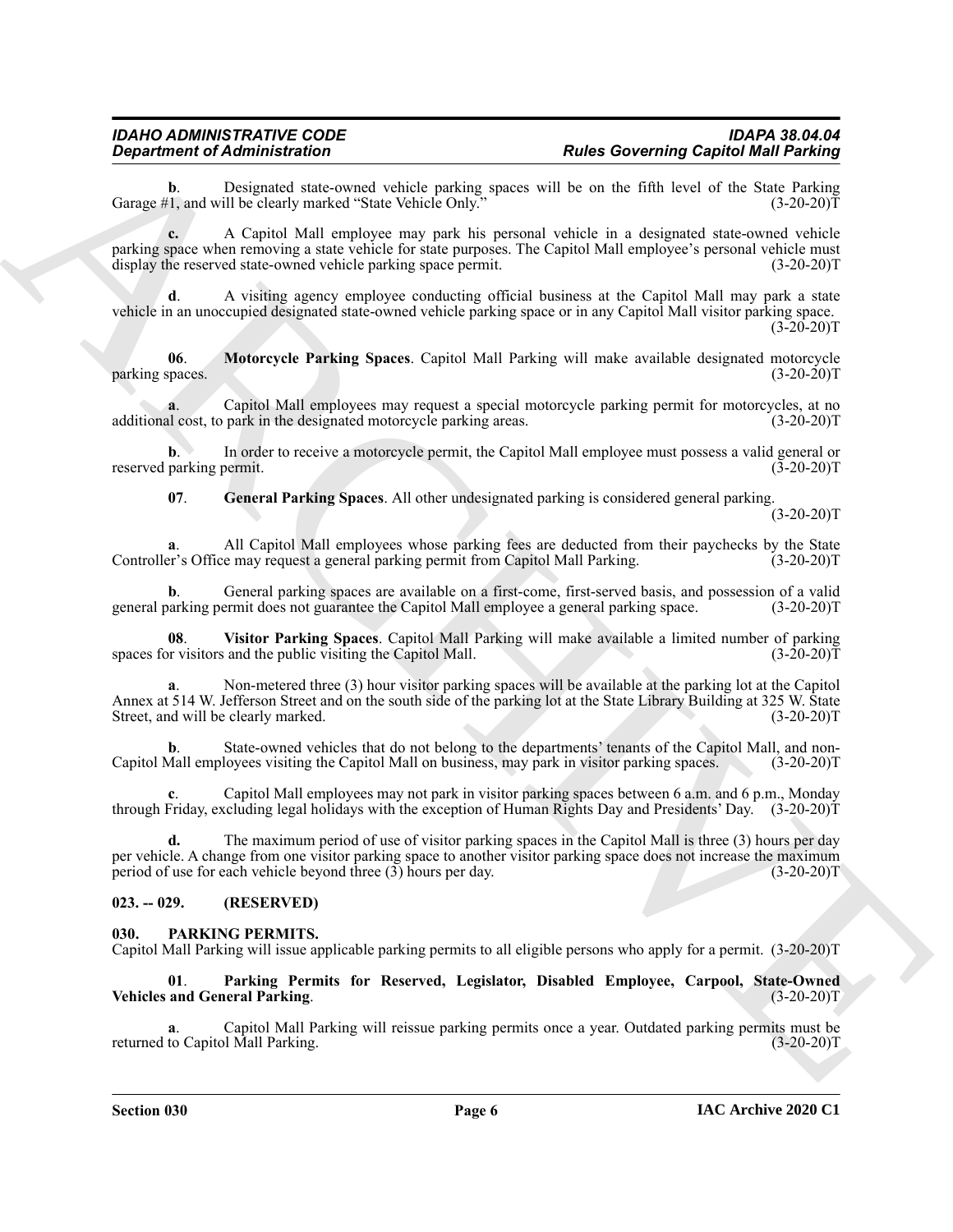Designated state-owned vehicle parking spaces will be on the fifth level of the State Parking ill be clearly marked "State Vehicle Only." (3-20-20) Garage #1, and will be clearly marked "State Vehicle Only."

**Experiment of Administration**<br>
Comparison Markov Hamilton States produce the space will be solved and the space of the space of the space of the space of the space of the space of the space of the space of the space of t **c.** A Capitol Mall employee may park his personal vehicle in a designated state-owned vehicle parking space when removing a state vehicle for state purposes. The Capitol Mall employee's personal vehicle must display the reserved state-owned vehicle parking space permit. (3-20-20)T

**d**. A visiting agency employee conducting official business at the Capitol Mall may park a state vehicle in an unoccupied designated state-owned vehicle parking space or in any Capitol Mall visitor parking space.  $(3-20-20)T$ 

<span id="page-5-5"></span>**06**. **Motorcycle Parking Spaces**. Capitol Mall Parking will make available designated motorcycle parking spaces.

**a**. Capitol Mall employees may request a special motorcycle parking permit for motorcycles, at no<br>I cost, to park in the designated motorcycle parking areas. (3-20-20) additional cost, to park in the designated motorcycle parking areas.

**b.** In order to receive a motorcycle permit, the Capitol Mall employee must possess a valid general or reserved parking permit. (3-20-20)T

<span id="page-5-4"></span>**07**. **General Parking Spaces**. All other undesignated parking is considered general parking.

 $(3-20-20)T$ 

All Capitol Mall employees whose parking fees are deducted from their paychecks by the State e may request a general parking permit from Capitol Mall Parking. (3-20-20)T Controller's Office may request a general parking permit from Capitol Mall Parking.

**b.** General parking spaces are available on a first-come, first-served basis, and possession of a valid parking permit does not guarantee the Capitol Mall employee a general parking space. (3-20-20) general parking permit does not guarantee the Capitol Mall employee a general parking space.

<span id="page-5-6"></span>**08**. **Visitor Parking Spaces**. Capitol Mall Parking will make available a limited number of parking spaces for visitors and the public visiting the Capitol Mall.

Non-metered three (3) hour visitor parking spaces will be available at the parking lot at the Capitol Annex at 514 W. Jefferson Street and on the south side of the parking lot at the State Library Building at 325 W. State Street, and will be clearly marked. (3-20-20) Street, and will be clearly marked.

**b.** State-owned vehicles that do not belong to the departments' tenants of the Capitol Mall, and non-Capitol Mall employees visiting the Capitol Mall on business, may park in visitor parking spaces. (3-20-20)T

**c**. Capitol Mall employees may not park in visitor parking spaces between 6 a.m. and 6 p.m., Monday through Friday, excluding legal holidays with the exception of Human Rights Day and Presidents' Day. (3-20-20)T

**d.** The maximum period of use of visitor parking spaces in the Capitol Mall is three (3) hours per day per vehicle. A change from one visitor parking space to another visitor parking space does not increase the maximum period of use for each vehicle beyond three (3) hours per day. (3-20-20)T

### <span id="page-5-0"></span>**023. -- 029. (RESERVED)**

#### <span id="page-5-2"></span><span id="page-5-1"></span>**030. PARKING PERMITS.**

Capitol Mall Parking will issue applicable parking permits to all eligible persons who apply for a permit. (3-20-20)T

<span id="page-5-3"></span>**01**. **Parking Permits for Reserved, Legislator, Disabled Employee, Carpool, State-Owned Vehicles and General Parking.** 

**a**. Capitol Mall Parking will reissue parking permits once a year. Outdated parking permits must be returned to Capitol Mall Parking.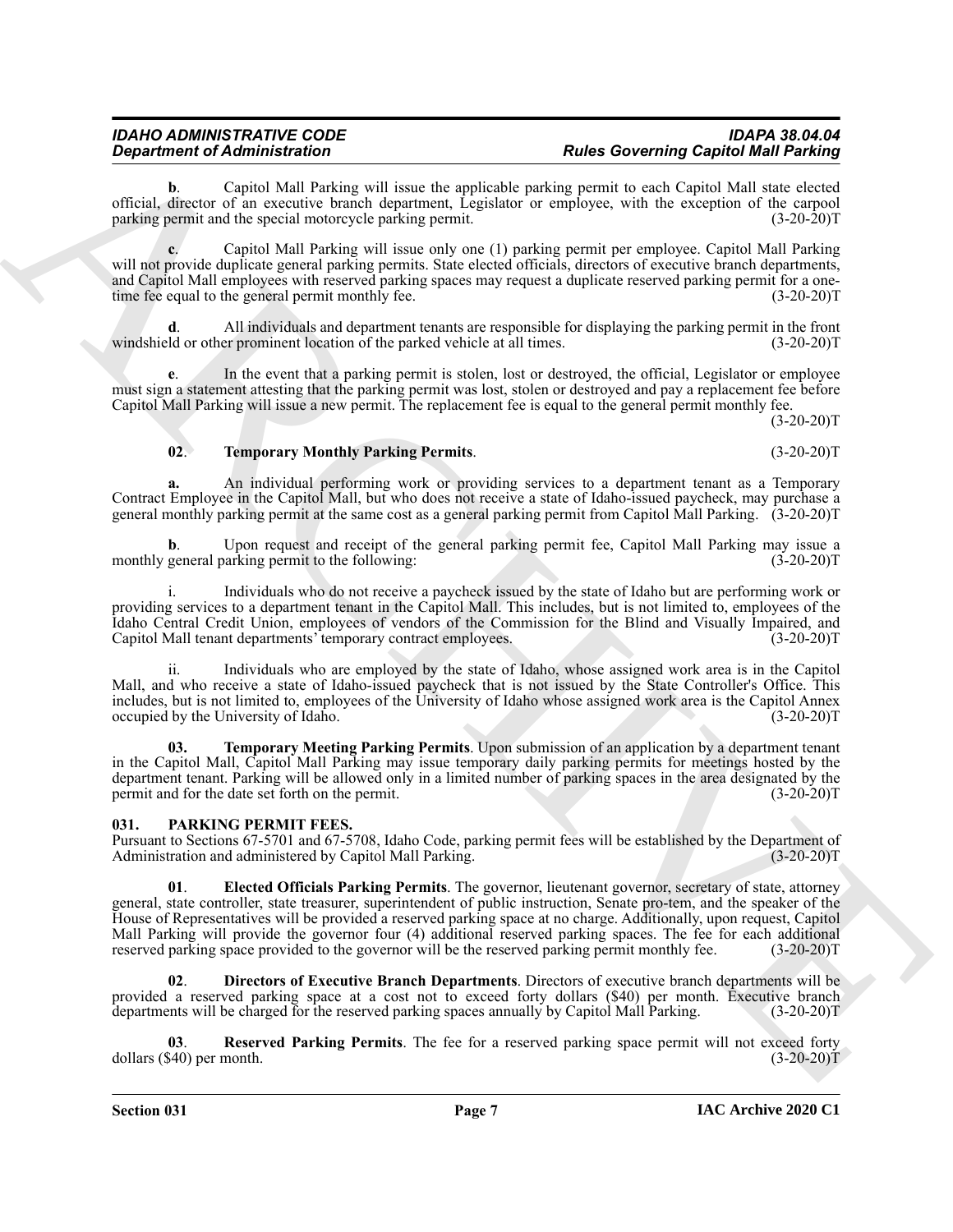#### *IDAHO ADMINISTRATIVE CODE IDAPA 38.04.04* **Rules Governing Capitol Mall Parking**

**b**. Capitol Mall Parking will issue the applicable parking permit to each Capitol Mall state elected official, director of an executive branch department, Legislator or employee, with the exception of the carpool parking permit and the special motorcycle parking permit. (3-20-20)T

**c**. Capitol Mall Parking will issue only one (1) parking permit per employee. Capitol Mall Parking will not provide duplicate general parking permits. State elected officials, directors of executive branch departments, and Capitol Mall employees with reserved parking spaces may request a duplicate reserved parking permit for a onetime fee equal to the general permit monthly fee. (3-20-20)T

**d**. All individuals and department tenants are responsible for displaying the parking permit in the front windshield or other prominent location of the parked vehicle at all times. (3-20-20)T

**e.** In the event that a parking permit is stolen, lost or destroyed, the official, Legislator or employee must sign a statement attesting that the parking permit was lost, stolen or destroyed and pay a replacement fee before Capitol Mall Parking will issue a new permit. The replacement fee is equal to the general permit monthly fee.

 $(3-20-20)T$ 

#### <span id="page-6-6"></span>**02**. **Temporary Monthly Parking Permits**. (3-20-20)T

**a.** An individual performing work or providing services to a department tenant as a Temporary Contract Employee in the Capitol Mall, but who does not receive a state of Idaho-issued paycheck, may purchase a general monthly parking permit at the same cost as a general parking permit from Capitol Mall Parking. (3-20-20)T

Upon request and receipt of the general parking permit fee, Capitol Mall Parking may issue a monthly general parking permit to the following: (3-20-20)T

i. Individuals who do not receive a paycheck issued by the state of Idaho but are performing work or providing services to a department tenant in the Capitol Mall. This includes, but is not limited to, employees of the Idaho Central Credit Union, employees of vendors of the Commission for the Blind and Visually Impaired, and Capitol Mall tenant departments' temporary contract employees. (3-20-20)T

ii. Individuals who are employed by the state of Idaho, whose assigned work area is in the Capitol Mall, and who receive a state of Idaho-issued paycheck that is not issued by the State Controller's Office. This includes, but is not limited to, employees of the University of Idaho whose assigned work area is the Capitol Annex occupied by the University of Idaho.

<span id="page-6-5"></span>**03. Temporary Meeting Parking Permits**. Upon submission of an application by a department tenant in the Capitol Mall, Capitol Mall Parking may issue temporary daily parking permits for meetings hosted by the department tenant. Parking will be allowed only in a limited number of parking spaces in the area designated by the permit and for the date set forth on the permit. permit and for the date set forth on the permit.

#### <span id="page-6-1"></span><span id="page-6-0"></span>**031. PARKING PERMIT FEES.**

<span id="page-6-3"></span>Pursuant to Sections 67-5701 and 67-5708, Idaho Code, parking permit fees will be established by the Department of Administration and administered by Capitol Mall Parking.

**Equation of Administration** in these than applies to the **CharaChive Constraint** and the specific of the specific state of the specific state of the specific state of the specific state of the specific state of the speci **01**. **Elected Officials Parking Permits**. The governor, lieutenant governor, secretary of state, attorney general, state controller, state treasurer, superintendent of public instruction, Senate pro-tem, and the speaker of the House of Representatives will be provided a reserved parking space at no charge. Additionally, upon request, Capitol Mall Parking will provide the governor four (4) additional reserved parking spaces. The fee for each additional reserved parking space provided to the governor will be the reserved parking permit monthly fee. (3-20-20)T reserved parking space provided to the governor will be the reserved parking permit monthly fee.

<span id="page-6-2"></span>**02**. **Directors of Executive Branch Departments**. Directors of executive branch departments will be provided a reserved parking space at a cost not to exceed forty dollars (\$40) per month. Executive branch departments will be charged for the reserved parking spaces annually by Capitol Mall Parking. (3-20-20)T

<span id="page-6-4"></span>**03**. **Reserved Parking Permits**. The fee for a reserved parking space permit will not exceed forty dollars (\$40) per month. (3-20-20)T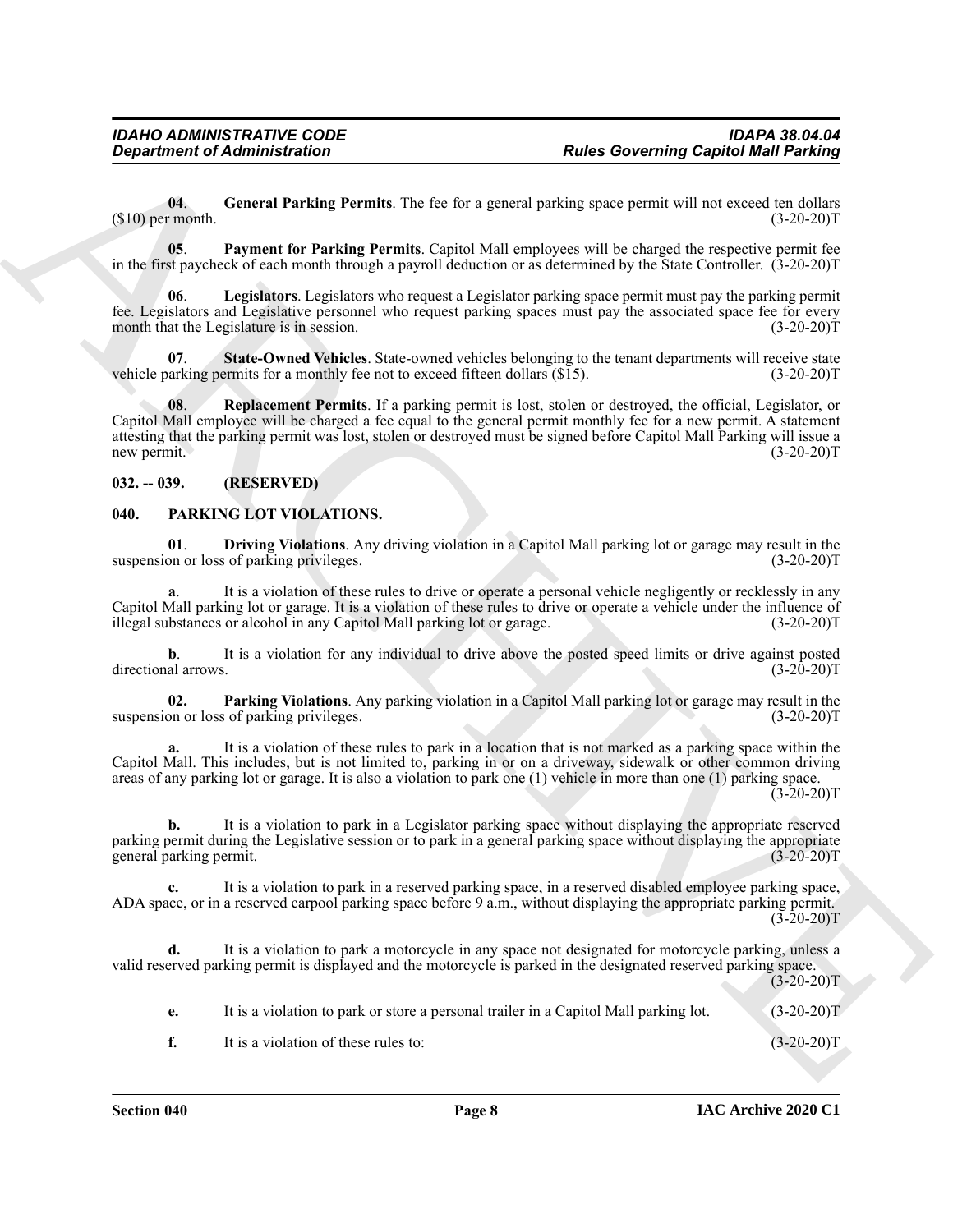<span id="page-7-5"></span>**04**. **General Parking Permits**. The fee for a general parking space permit will not exceed ten dollars  $(3-20-20)$ T (3-20-20)T (3-20-20)T

<span id="page-7-7"></span>**05**. **Payment for Parking Permits**. Capitol Mall employees will be charged the respective permit fee in the first paycheck of each month through a payroll deduction or as determined by the State Controller. (3-20-20)T

<span id="page-7-6"></span>**06**. **Legislators**. Legislators who request a Legislator parking space permit must pay the parking permit fee. Legislators and Legislative personnel who request parking spaces must pay the associated space fee for every month that the Legislature is in session. (3-20-20)<sup>T</sup> (3-20-20)<sup>T</sup>

<span id="page-7-9"></span><span id="page-7-8"></span>**07. State-Owned Vehicles**. State-owned vehicles belonging to the tenant departments will receive state belonging to the tenant departments will receive state of the state of the order of the control of the state of the vehicle parking permits for a monthly fee not to exceed fifteen dollars  $(\$15)$ .

**Constrained of Administration**<br> **Constrained Constrained Constrained Constrained Constrained Constrained Constrained Constrained Constrained Constrained Constrained Constrained Constrained Constrained Constrained Constra 08**. **Replacement Permits**. If a parking permit is lost, stolen or destroyed, the official, Legislator, or Capitol Mall employee will be charged a fee equal to the general permit monthly fee for a new permit. A statement attesting that the parking permit was lost, stolen or destroyed must be signed before Capitol Mall Parking will issue a new permit. (3-20-20)T

#### <span id="page-7-0"></span>**032. -- 039. (RESERVED)**

#### <span id="page-7-3"></span><span id="page-7-2"></span><span id="page-7-1"></span>**040. PARKING LOT VIOLATIONS.**

**01**. **Driving Violations**. Any driving violation in a Capitol Mall parking lot or garage may result in the suspension or loss of parking privileges.

**a**. It is a violation of these rules to drive or operate a personal vehicle negligently or recklessly in any Capitol Mall parking lot or garage. It is a violation of these rules to drive or operate a vehicle under the influence of illegal substances or alcohol in any Capitol Mall parking lot or garage. (3-20-20)T

**b**. It is a violation for any individual to drive above the posted speed limits or drive against posted al arrows. (3-20-20) directional arrows.

<span id="page-7-4"></span>**02. Parking Violations**. Any parking violation in a Capitol Mall parking lot or garage may result in the suspension or loss of parking privileges.

**a.** It is a violation of these rules to park in a location that is not marked as a parking space within the Capitol Mall. This includes, but is not limited to, parking in or on a driveway, sidewalk or other common driving areas of any parking lot or garage. It is also a violation to park one (1) vehicle in more than one (1) parking space.  $(3-20-20)$ T

**b.** It is a violation to park in a Legislator parking space without displaying the appropriate reserved parking permit during the Legislative session or to park in a general parking space without displaying the appropriate general parking permit.

**c.** It is a violation to park in a reserved parking space, in a reserved disabled employee parking space, ADA space, or in a reserved carpool parking space before 9 a.m., without displaying the appropriate parking permit.  $(3-20-20)T$ 

**d.** It is a violation to park a motorcycle in any space not designated for motorcycle parking, unless a valid reserved parking permit is displayed and the motorcycle is parked in the designated reserved parking space.

 $(3-20-20)$ T

**e.** It is a violation to park or store a personal trailer in a Capitol Mall parking lot. (3-20-20)

**f.** It is a violation of these rules to: (3-20-20)T

**IAC Archive 2020 C1**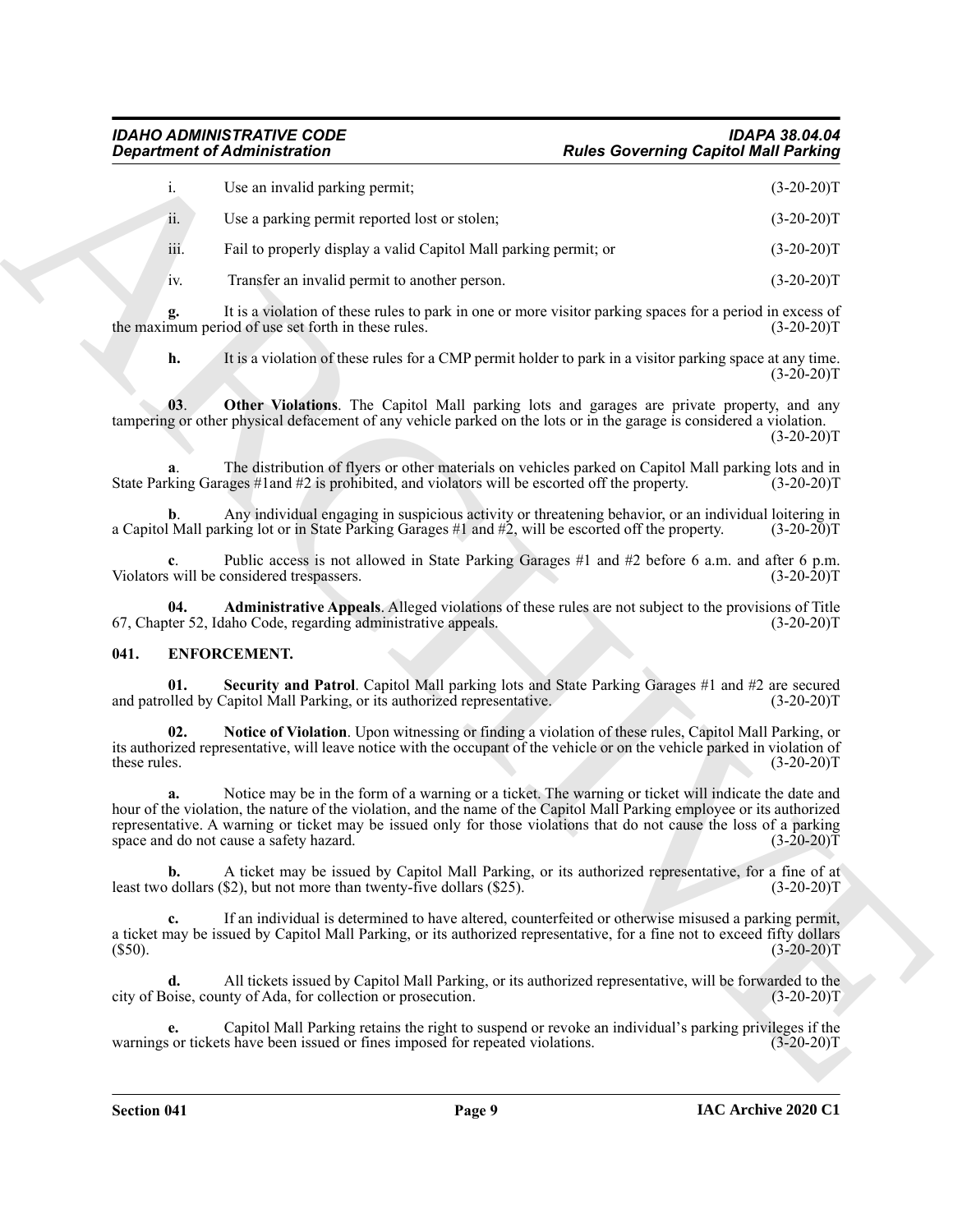| <b>Department of Administration</b>                                                                                                                                                                                                                                                                                                                                                                     | <b>Rules Governing Capitol Mall Parking</b> |
|---------------------------------------------------------------------------------------------------------------------------------------------------------------------------------------------------------------------------------------------------------------------------------------------------------------------------------------------------------------------------------------------------------|---------------------------------------------|
| i.<br>Use an invalid parking permit;                                                                                                                                                                                                                                                                                                                                                                    | $(3-20-20)T$                                |
| ii.<br>Use a parking permit reported lost or stolen;                                                                                                                                                                                                                                                                                                                                                    | $(3-20-20)T$                                |
| iii.<br>Fail to properly display a valid Capitol Mall parking permit; or                                                                                                                                                                                                                                                                                                                                | $(3-20-20)T$                                |
| Transfer an invalid permit to another person.<br>iv.                                                                                                                                                                                                                                                                                                                                                    | $(3-20-20)T$                                |
| It is a violation of these rules to park in one or more visitor parking spaces for a period in excess of<br>g.<br>the maximum period of use set forth in these rules.                                                                                                                                                                                                                                   | $(3-20-20)T$                                |
| h.<br>It is a violation of these rules for a CMP permit holder to park in a visitor parking space at any time.                                                                                                                                                                                                                                                                                          | $(3-20-20)T$                                |
| Other Violations. The Capitol Mall parking lots and garages are private property, and any<br>03.<br>tampering or other physical defacement of any vehicle parked on the lots or in the garage is considered a violation.                                                                                                                                                                                | $(3-20-20)T$                                |
| The distribution of flyers or other materials on vehicles parked on Capitol Mall parking lots and in<br>State Parking Garages #1 and #2 is prohibited, and violators will be escorted off the property.                                                                                                                                                                                                 | $(3-20-20)T$                                |
| Any individual engaging in suspicious activity or threatening behavior, or an individual loitering in<br>b.<br>a Capitol Mall parking lot or in State Parking Garages #1 and #2, will be escorted off the property.                                                                                                                                                                                     | $(3-20-20)T$                                |
| Public access is not allowed in State Parking Garages #1 and #2 before 6 a.m. and after 6 p.m.<br>Violators will be considered trespassers.                                                                                                                                                                                                                                                             | $(3-20-20)T$                                |
| Administrative Appeals. Alleged violations of these rules are not subject to the provisions of Title<br>04.<br>67, Chapter 52, Idaho Code, regarding administrative appeals.                                                                                                                                                                                                                            | $(3-20-20)T$                                |
| 041.<br>ENFORCEMENT.                                                                                                                                                                                                                                                                                                                                                                                    |                                             |
| Security and Patrol. Capitol Mall parking lots and State Parking Garages #1 and #2 are secured<br>01.<br>and patrolled by Capitol Mall Parking, or its authorized representative.                                                                                                                                                                                                                       | $(3-20-20)T$                                |
| Notice of Violation. Upon witnessing or finding a violation of these rules, Capitol Mall Parking, or<br>02.<br>its authorized representative, will leave notice with the occupant of the vehicle or on the vehicle parked in violation of<br>these rules.                                                                                                                                               | $(3-20-20)T$                                |
| Notice may be in the form of a warning or a ticket. The warning or ticket will indicate the date and<br>a.<br>hour of the violation, the nature of the violation, and the name of the Capitol Mall Parking employee or its authorized<br>representative. A warning or ticket may be issued only for those violations that do not cause the loss of a parking<br>space and do not cause a safety hazard. | $(3-20-20)\bar{T}$                          |
| A ticket may be issued by Capitol Mall Parking, or its authorized representative, for a fine of at<br>b.<br>least two dollars $(\$2)$ , but not more than twenty-five dollars $(\$25)$ .                                                                                                                                                                                                                | $(3-20-20)T$                                |
| If an individual is determined to have altered, counterfeited or otherwise misused a parking permit,<br>c.<br>a ticket may be issued by Capitol Mall Parking, or its authorized representative, for a fine not to exceed fifty dollars<br>$(S50)$ .                                                                                                                                                     | $(3-20-20)T$                                |
| All tickets issued by Capitol Mall Parking, or its authorized representative, will be forwarded to the<br>d.<br>city of Boise, county of Ada, for collection or prosecution.                                                                                                                                                                                                                            | $(3-20-20)T$                                |
| Capitol Mall Parking retains the right to suspend or revoke an individual's parking privileges if the<br>e.<br>warnings or tickets have been issued or fines imposed for repeated violations.                                                                                                                                                                                                           | $(3-20-20)T$                                |
|                                                                                                                                                                                                                                                                                                                                                                                                         |                                             |

#### <span id="page-8-5"></span><span id="page-8-4"></span><span id="page-8-3"></span><span id="page-8-2"></span><span id="page-8-1"></span><span id="page-8-0"></span>**041. ENFORCEMENT.**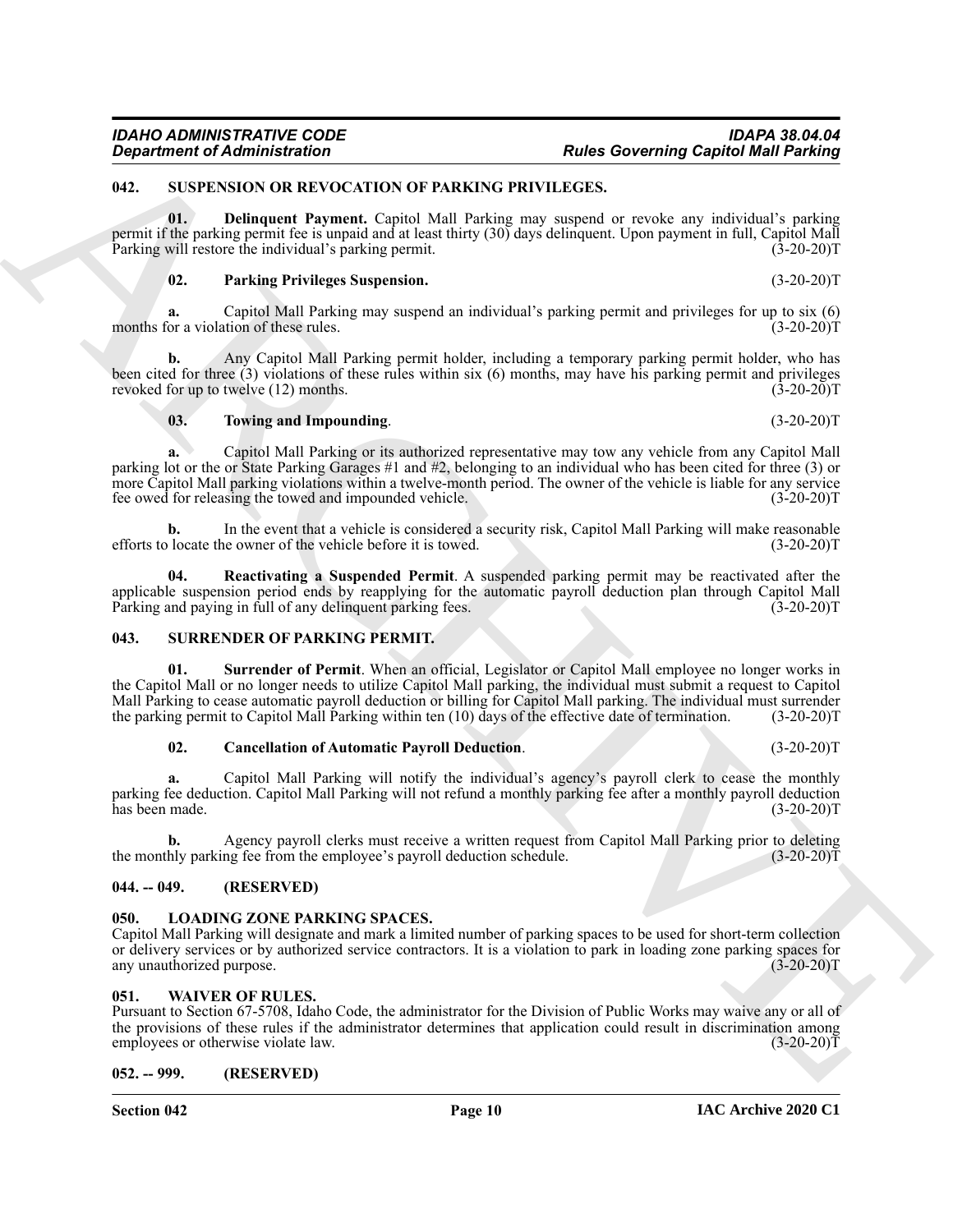#### <span id="page-9-10"></span><span id="page-9-0"></span>**042. SUSPENSION OR REVOCATION OF PARKING PRIVILEGES.**

**01. Delinquent Payment.** Capitol Mall Parking may suspend or revoke any individual's parking permit if the parking permit fee is unpaid and at least thirty (30) days delinquent. Upon payment in full, Capitol Mall Parking will restore the individual's parking permit. (3-20-20)T

#### <span id="page-9-12"></span><span id="page-9-11"></span>**02. Parking Privileges Suspension.** (3-20-20)T

**a.** Capitol Mall Parking may suspend an individual's parking permit and privileges for up to six (6) months for a violation of these rules. (3-20-20)T

**b.** Any Capitol Mall Parking permit holder, including a temporary parking permit holder, who has been cited for three (3) violations of these rules within six (6) months, may have his parking permit and privileges revoked for up to twelve (12) months. (3-20-20)T

#### <span id="page-9-14"></span>**03. Towing and Impounding**. (3-20-20)T

Governing Capital Mini-Branch Correlation<br>
1981. Such as the content of the same of the same of the same of the same of the same of the same of the same of the same of the same of the same of the same of the same of the s **a.** Capitol Mall Parking or its authorized representative may tow any vehicle from any Capitol Mall parking lot or the or State Parking Garages #1 and #2, belonging to an individual who has been cited for three (3) or more Capitol Mall parking violations within a twelve-month period. The owner of the vehicle is liable for any service fee owed for releasing the towed and impounded vehicle. (3-20-20)T

**b.** In the event that a vehicle is considered a security risk, Capitol Mall Parking will make reasonable efforts to locate the owner of the vehicle before it is towed. (3-20-20)T

<span id="page-9-13"></span>**04. Reactivating a Suspended Permit**. A suspended parking permit may be reactivated after the applicable suspension period ends by reapplying for the automatic payroll deduction plan through Capitol Mall<br>Parking and paying in full of any delinguent parking fees. (3-20-20) Parking and paying in full of any delinquent parking fees.

#### <span id="page-9-7"></span><span id="page-9-1"></span>**043. SURRENDER OF PARKING PERMIT.**

**01. Surrender of Permit**. When an official, Legislator or Capitol Mall employee no longer works in the Capitol Mall or no longer needs to utilize Capitol Mall parking, the individual must submit a request to Capitol Mall Parking to cease automatic payroll deduction or billing for Capitol Mall parking. The individual must surrender<br>the parking permit to Capitol Mall Parking within ten (10) days of the effective date of termination. (3the parking permit to Capitol Mall Parking within ten  $(10)$  days of the effective date of termination.

#### <span id="page-9-9"></span><span id="page-9-8"></span>**02. Cancellation of Automatic Payroll Deduction**. (3-20-20)T

**a.** Capitol Mall Parking will notify the individual's agency's payroll clerk to cease the monthly parking fee deduction. Capitol Mall Parking will not refund a monthly parking fee after a monthly payroll deduction has been made.

**b.** Agency payroll clerks must receive a written request from Capitol Mall Parking prior to deleting hly parking fee from the employee's payroll deduction schedule. (3-20-20) the monthly parking fee from the employee's payroll deduction schedule.

#### <span id="page-9-2"></span>**044. -- 049. (RESERVED)**

#### <span id="page-9-6"></span><span id="page-9-3"></span>**LOADING ZONE PARKING SPACES.**

Capitol Mall Parking will designate and mark a limited number of parking spaces to be used for short-term collection or delivery services or by authorized service contractors. It is a violation to park in loading zone parking spaces for any unauthorized purpose. (3-20-20) any unauthorized purpose.

#### <span id="page-9-15"></span><span id="page-9-4"></span>**051. WAIVER OF RULES.**

Pursuant to Section 67-5708, Idaho Code, the administrator for the Division of Public Works may waive any or all of the provisions of these rules if the administrator determines that application could result in discrimination among<br>employees or otherwise violate law. (3-20-20) employees or otherwise violate law.

#### <span id="page-9-5"></span>**052. -- 999. (RESERVED)**

**Section 042 Page 10**



**Rules Governing Capitol Mall Parking** 

**IAC Archive 2020 C1**